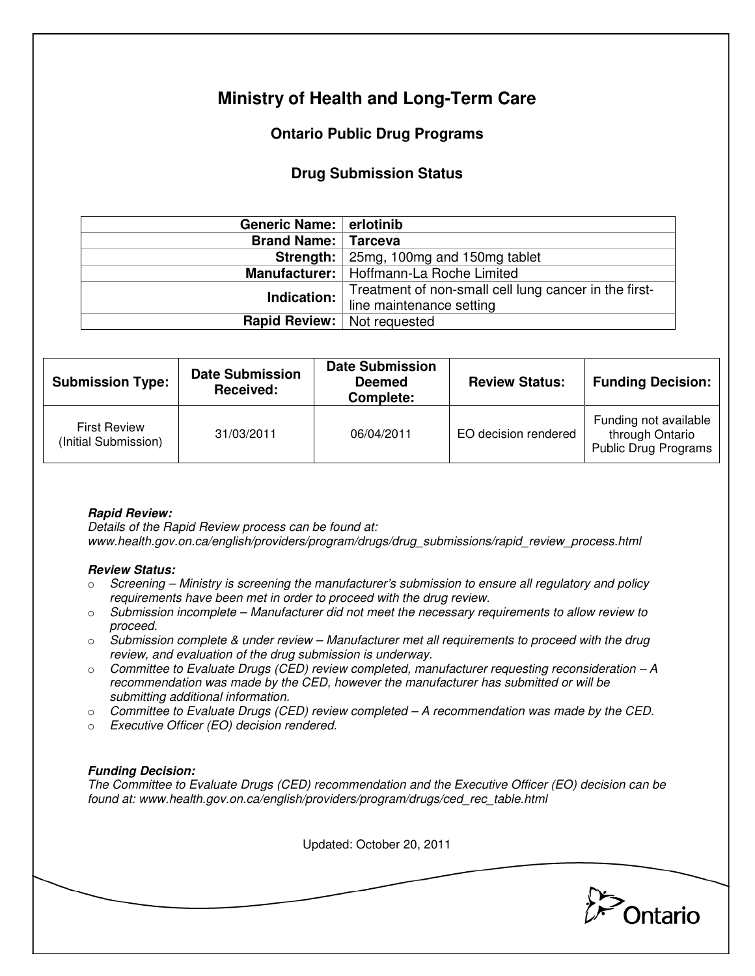# **Ministry of Health and Long-Term Care**

## **Ontario Public Drug Programs**

### **Drug Submission Status**

| Generic Name: erlotinib            |                                                       |  |  |
|------------------------------------|-------------------------------------------------------|--|--|
| <b>Brand Name: Tarceva</b>         |                                                       |  |  |
|                                    | Strength:   25mg, 100mg and 150mg tablet              |  |  |
|                                    | Manufacturer:   Hoffmann-La Roche Limited             |  |  |
| Indication:                        | Treatment of non-small cell lung cancer in the first- |  |  |
|                                    | line maintenance setting                              |  |  |
| <b>Rapid Review:</b> Not requested |                                                       |  |  |

| <b>Submission Type:</b>                     | <b>Date Submission</b><br>Received: | <b>Date Submission</b><br><b>Deemed</b><br>Complete: | <b>Review Status:</b> | <b>Funding Decision:</b>                                         |
|---------------------------------------------|-------------------------------------|------------------------------------------------------|-----------------------|------------------------------------------------------------------|
| <b>First Review</b><br>(Initial Submission) | 31/03/2011                          | 06/04/2011                                           | EO decision rendered  | Funding not available<br>through Ontario<br>Public Drug Programs |

### **Rapid Review:**

Details of the Rapid Review process can be found at: www.health.gov.on.ca/english/providers/program/drugs/drug\_submissions/rapid\_review\_process.html

#### **Review Status:**

- $\circ$  Screening Ministry is screening the manufacturer's submission to ensure all regulatory and policy requirements have been met in order to proceed with the drug review.
- $\circ$  Submission incomplete Manufacturer did not meet the necessary requirements to allow review to proceed.
- $\circ$  Submission complete & under review Manufacturer met all requirements to proceed with the drug review, and evaluation of the drug submission is underway.
- $\circ$  Committee to Evaluate Drugs (CED) review completed, manufacturer requesting reconsideration  $-A$ recommendation was made by the CED, however the manufacturer has submitted or will be submitting additional information.
- $\circ$  Committee to Evaluate Drugs (CED) review completed A recommendation was made by the CED.
- o Executive Officer (EO) decision rendered.

### **Funding Decision:**

The Committee to Evaluate Drugs (CED) recommendation and the Executive Officer (EO) decision can be found at: www.health.gov.on.ca/english/providers/program/drugs/ced\_rec\_table.html

Updated: October 20, 2011